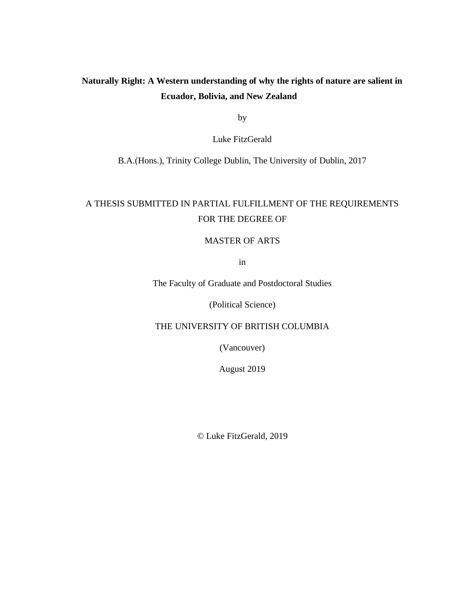## **Naturally Right: A Western understanding of why the rights of nature are salient in Ecuador, Bolivia, and New Zealand**

by

Luke FitzGerald

B.A.(Hons.), Trinity College Dublin, The University of Dublin, 2017

# A THESIS SUBMITTED IN PARTIAL FULFILLMENT OF THE REQUIREMENTS FOR THE DEGREE OF

## MASTER OF ARTS

in

The Faculty of Graduate and Postdoctoral Studies

(Political Science)

THE UNIVERSITY OF BRITISH COLUMBIA

(Vancouver)

August 2019

© Luke FitzGerald, 2019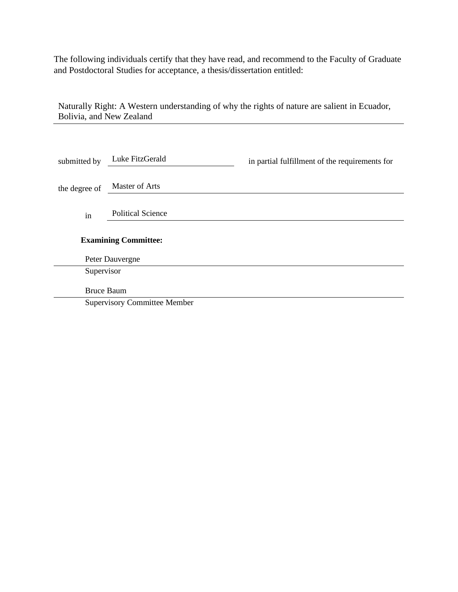The following individuals certify that they have read, and recommend to the Faculty of Graduate and Postdoctoral Studies for acceptance, a thesis/dissertation entitled:

Naturally Right: A Western understanding of why the rights of nature are salient in Ecuador, Bolivia, and New Zealand

| submitted by                | Luke FitzGerald                     | in partial fulfillment of the requirements for |  |  |
|-----------------------------|-------------------------------------|------------------------------------------------|--|--|
| the degree of               | Master of Arts                      |                                                |  |  |
| in                          | <b>Political Science</b>            |                                                |  |  |
| <b>Examining Committee:</b> |                                     |                                                |  |  |
| Peter Dauvergne             |                                     |                                                |  |  |
| Supervisor                  |                                     |                                                |  |  |
| <b>Bruce Baum</b>           |                                     |                                                |  |  |
|                             | <b>Supervisory Committee Member</b> |                                                |  |  |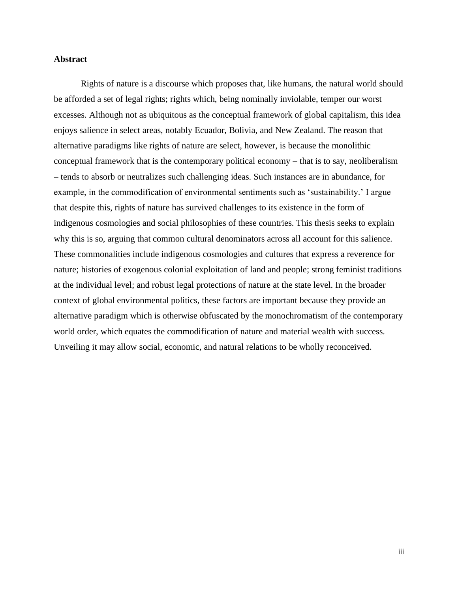## **Abstract**

Rights of nature is a discourse which proposes that, like humans, the natural world should be afforded a set of legal rights; rights which, being nominally inviolable, temper our worst excesses. Although not as ubiquitous as the conceptual framework of global capitalism, this idea enjoys salience in select areas, notably Ecuador, Bolivia, and New Zealand. The reason that alternative paradigms like rights of nature are select, however, is because the monolithic conceptual framework that is the contemporary political economy – that is to say, neoliberalism – tends to absorb or neutralizes such challenging ideas. Such instances are in abundance, for example, in the commodification of environmental sentiments such as 'sustainability.' I argue that despite this, rights of nature has survived challenges to its existence in the form of indigenous cosmologies and social philosophies of these countries. This thesis seeks to explain why this is so, arguing that common cultural denominators across all account for this salience. These commonalities include indigenous cosmologies and cultures that express a reverence for nature; histories of exogenous colonial exploitation of land and people; strong feminist traditions at the individual level; and robust legal protections of nature at the state level. In the broader context of global environmental politics, these factors are important because they provide an alternative paradigm which is otherwise obfuscated by the monochromatism of the contemporary world order, which equates the commodification of nature and material wealth with success. Unveiling it may allow social, economic, and natural relations to be wholly reconceived.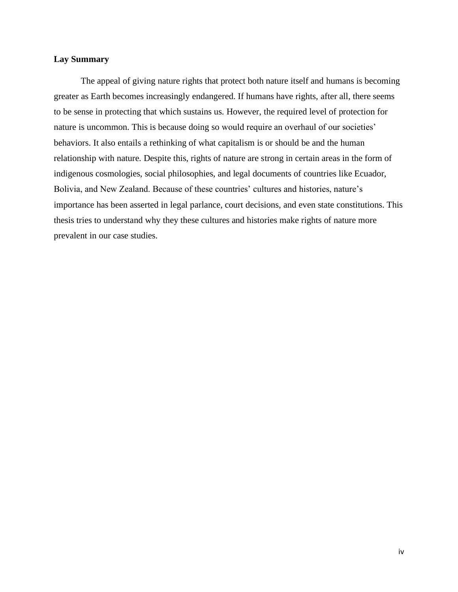## **Lay Summary**

The appeal of giving nature rights that protect both nature itself and humans is becoming greater as Earth becomes increasingly endangered. If humans have rights, after all, there seems to be sense in protecting that which sustains us. However, the required level of protection for nature is uncommon. This is because doing so would require an overhaul of our societies' behaviors. It also entails a rethinking of what capitalism is or should be and the human relationship with nature. Despite this, rights of nature are strong in certain areas in the form of indigenous cosmologies, social philosophies, and legal documents of countries like Ecuador, Bolivia, and New Zealand. Because of these countries' cultures and histories, nature's importance has been asserted in legal parlance, court decisions, and even state constitutions. This thesis tries to understand why they these cultures and histories make rights of nature more prevalent in our case studies.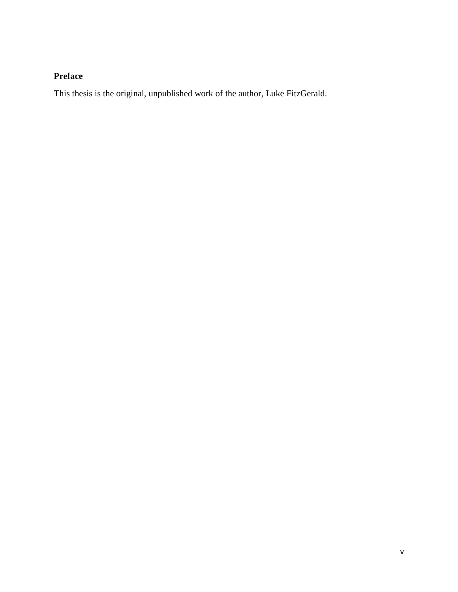## **Preface**

This thesis is the original, unpublished work of the author, Luke FitzGerald.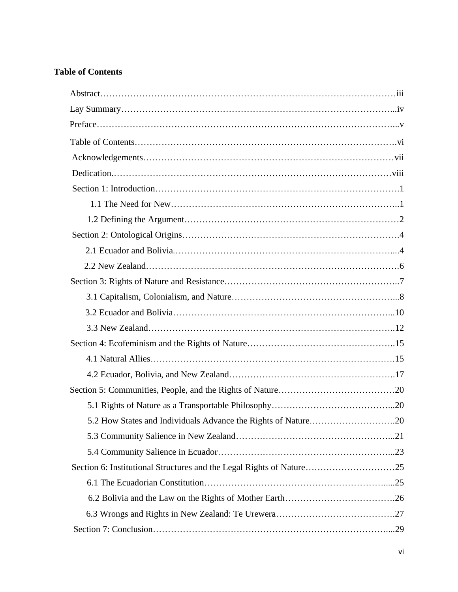## **Table of Contents**

| Section 6: Institutional Structures and the Legal Rights of Nature25 |  |
|----------------------------------------------------------------------|--|
|                                                                      |  |
|                                                                      |  |
|                                                                      |  |
|                                                                      |  |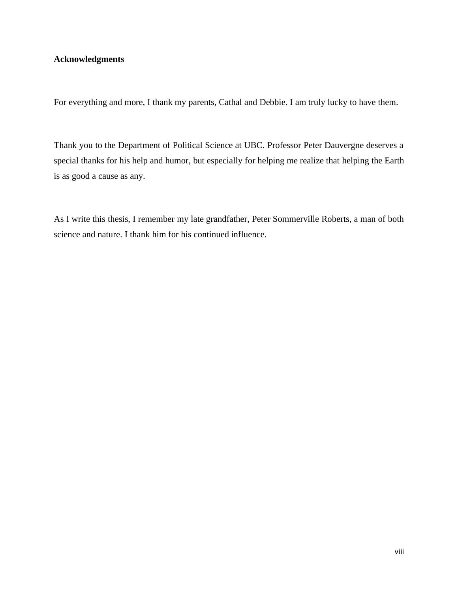## **Acknowledgments**

For everything and more, I thank my parents, Cathal and Debbie. I am truly lucky to have them.

Thank you to the Department of Political Science at UBC. Professor Peter Dauvergne deserves a special thanks for his help and humor, but especially for helping me realize that helping the Earth is as good a cause as any.

As I write this thesis, I remember my late grandfather, Peter Sommerville Roberts, a man of both science and nature. I thank him for his continued influence.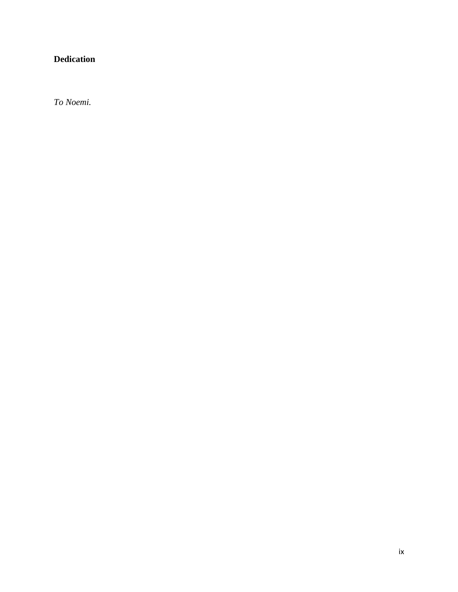## **Dedication**

*To Noemi.*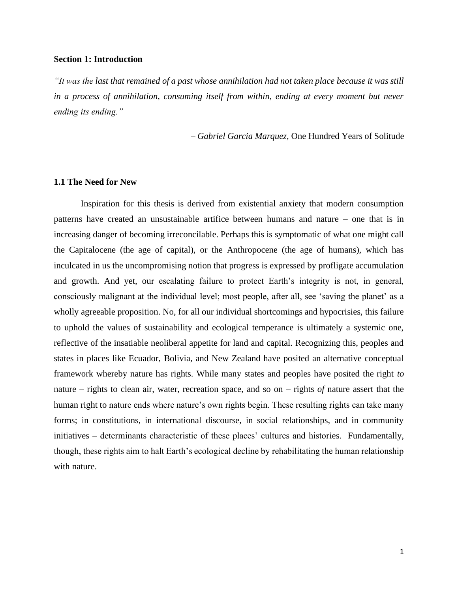#### **Section 1: Introduction**

*"It was the last that remained of a past whose annihilation had not taken place because it was still in a process of annihilation, consuming itself from within, ending at every moment but never ending its ending."*

*– Gabriel Garcia Marquez,* One Hundred Years of Solitude

#### **1.1 The Need for New**

Inspiration for this thesis is derived from existential anxiety that modern consumption patterns have created an unsustainable artifice between humans and nature – one that is in increasing danger of becoming irreconcilable. Perhaps this is symptomatic of what one might call the Capitalocene (the age of capital), or the Anthropocene (the age of humans), which has inculcated in us the uncompromising notion that progress is expressed by profligate accumulation and growth. And yet, our escalating failure to protect Earth's integrity is not, in general, consciously malignant at the individual level; most people, after all, see 'saving the planet' as a wholly agreeable proposition. No, for all our individual shortcomings and hypocrisies, this failure to uphold the values of sustainability and ecological temperance is ultimately a systemic one, reflective of the insatiable neoliberal appetite for land and capital. Recognizing this, peoples and states in places like Ecuador, Bolivia, and New Zealand have posited an alternative conceptual framework whereby nature has rights. While many states and peoples have posited the right *to*  nature – rights to clean air, water, recreation space, and so on – rights *of* nature assert that the human right to nature ends where nature's own rights begin. These resulting rights can take many forms; in constitutions, in international discourse, in social relationships, and in community initiatives – determinants characteristic of these places' cultures and histories. Fundamentally, though, these rights aim to halt Earth's ecological decline by rehabilitating the human relationship with nature.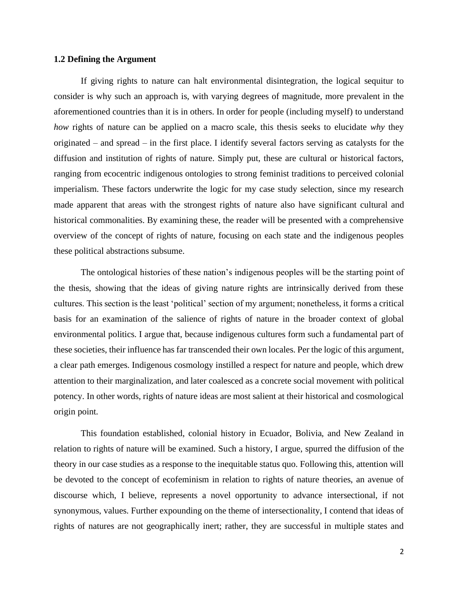#### **1.2 Defining the Argument**

If giving rights to nature can halt environmental disintegration, the logical sequitur to consider is why such an approach is, with varying degrees of magnitude, more prevalent in the aforementioned countries than it is in others. In order for people (including myself) to understand *how* rights of nature can be applied on a macro scale, this thesis seeks to elucidate *why* they originated – and spread – in the first place. I identify several factors serving as catalysts for the diffusion and institution of rights of nature. Simply put, these are cultural or historical factors, ranging from ecocentric indigenous ontologies to strong feminist traditions to perceived colonial imperialism. These factors underwrite the logic for my case study selection, since my research made apparent that areas with the strongest rights of nature also have significant cultural and historical commonalities. By examining these, the reader will be presented with a comprehensive overview of the concept of rights of nature, focusing on each state and the indigenous peoples these political abstractions subsume.

The ontological histories of these nation's indigenous peoples will be the starting point of the thesis, showing that the ideas of giving nature rights are intrinsically derived from these cultures. This section is the least 'political' section of my argument; nonetheless, it forms a critical basis for an examination of the salience of rights of nature in the broader context of global environmental politics. I argue that, because indigenous cultures form such a fundamental part of these societies, their influence has far transcended their own locales. Per the logic of this argument, a clear path emerges. Indigenous cosmology instilled a respect for nature and people, which drew attention to their marginalization, and later coalesced as a concrete social movement with political potency. In other words, rights of nature ideas are most salient at their historical and cosmological origin point.

This foundation established, colonial history in Ecuador, Bolivia, and New Zealand in relation to rights of nature will be examined. Such a history, I argue, spurred the diffusion of the theory in our case studies as a response to the inequitable status quo. Following this, attention will be devoted to the concept of ecofeminism in relation to rights of nature theories, an avenue of discourse which, I believe, represents a novel opportunity to advance intersectional, if not synonymous, values. Further expounding on the theme of intersectionality, I contend that ideas of rights of natures are not geographically inert; rather, they are successful in multiple states and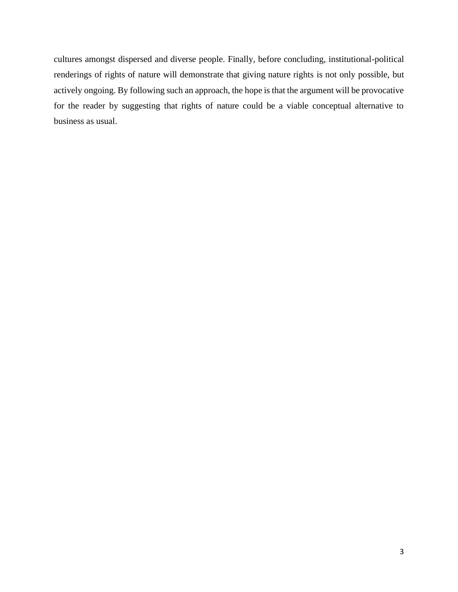cultures amongst dispersed and diverse people. Finally, before concluding, institutional-political renderings of rights of nature will demonstrate that giving nature rights is not only possible, but actively ongoing. By following such an approach, the hope is that the argument will be provocative for the reader by suggesting that rights of nature could be a viable conceptual alternative to business as usual.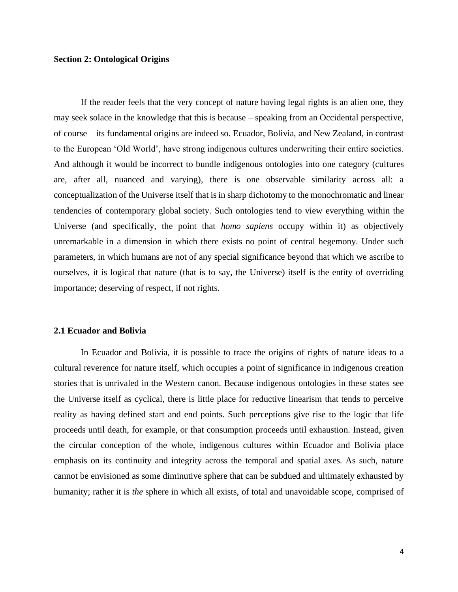## **Section 2: Ontological Origins**

If the reader feels that the very concept of nature having legal rights is an alien one, they may seek solace in the knowledge that this is because – speaking from an Occidental perspective, of course – its fundamental origins are indeed so. Ecuador, Bolivia, and New Zealand, in contrast to the European 'Old World', have strong indigenous cultures underwriting their entire societies. And although it would be incorrect to bundle indigenous ontologies into one category (cultures are, after all, nuanced and varying), there is one observable similarity across all: a conceptualization of the Universe itself that is in sharp dichotomy to the monochromatic and linear tendencies of contemporary global society. Such ontologies tend to view everything within the Universe (and specifically, the point that *homo sapiens* occupy within it) as objectively unremarkable in a dimension in which there exists no point of central hegemony. Under such parameters, in which humans are not of any special significance beyond that which we ascribe to ourselves, it is logical that nature (that is to say, the Universe) itself is the entity of overriding importance; deserving of respect, if not rights.

#### **2.1 Ecuador and Bolivia**

In Ecuador and Bolivia, it is possible to trace the origins of rights of nature ideas to a cultural reverence for nature itself, which occupies a point of significance in indigenous creation stories that is unrivaled in the Western canon. Because indigenous ontologies in these states see the Universe itself as cyclical, there is little place for reductive linearism that tends to perceive reality as having defined start and end points. Such perceptions give rise to the logic that life proceeds until death, for example, or that consumption proceeds until exhaustion. Instead, given the circular conception of the whole, indigenous cultures within Ecuador and Bolivia place emphasis on its continuity and integrity across the temporal and spatial axes. As such, nature cannot be envisioned as some diminutive sphere that can be subdued and ultimately exhausted by humanity; rather it is *the* sphere in which all exists, of total and unavoidable scope, comprised of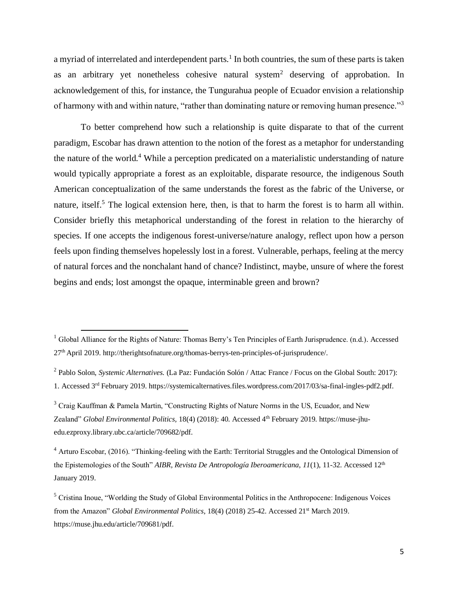a myriad of interrelated and interdependent parts.<sup>1</sup> In both countries, the sum of these parts is taken as an arbitrary yet nonetheless cohesive natural system<sup>2</sup> deserving of approbation. In acknowledgement of this, for instance, the Tungurahua people of Ecuador envision a relationship of harmony with and within nature, "rather than dominating nature or removing human presence."<sup>3</sup>

To better comprehend how such a relationship is quite disparate to that of the current paradigm, Escobar has drawn attention to the notion of the forest as a metaphor for understanding the nature of the world.<sup>4</sup> While a perception predicated on a materialistic understanding of nature would typically appropriate a forest as an exploitable, disparate resource, the indigenous South American conceptualization of the same understands the forest as the fabric of the Universe, or nature, itself.<sup>5</sup> The logical extension here, then, is that to harm the forest is to harm all within. Consider briefly this metaphorical understanding of the forest in relation to the hierarchy of species. If one accepts the indigenous forest-universe/nature analogy, reflect upon how a person feels upon finding themselves hopelessly lost in a forest. Vulnerable, perhaps, feeling at the mercy of natural forces and the nonchalant hand of chance? Indistinct, maybe, unsure of where the forest begins and ends; lost amongst the opaque, interminable green and brown?

 $1$  Global Alliance for the Rights of Nature: Thomas Berry's Ten Principles of Earth Jurisprudence. (n.d.). Accessed 27th April 2019[. http://therightsofnature.org/thomas-berrys-ten-principles-of-jurisprudence/.](http://therightsofnature.org/thomas-berrys-ten-principles-of-jurisprudence/)

<sup>2</sup> Pablo Solon, *Systemic Alternatives.* (La Paz: Fundación Solón / Attac France / Focus on the Global South: 2017):

<sup>1.</sup> Accessed 3rd February 2019. [https://systemicalternatives.files.wordpress.com/2017/03/sa-final-ingles-pdf2.pdf.](https://systemicalternatives.files.wordpress.com/2017/03/sa-final-ingles-pdf2.pdf)

<sup>3</sup> Craig Kauffman & Pamela Martin, "Constructing Rights of Nature Norms in the US, Ecuador, and New Zealand" *Global Environmental Politics,* 18(4) (2018): 40. Accessed 4th February 2019. https://muse-jhuedu.ezproxy.library.ubc.ca/article/709682/pdf.

<sup>&</sup>lt;sup>4</sup> Arturo Escobar, (2016). "Thinking-feeling with the Earth: Territorial Struggles and the Ontological Dimension of the Epistemologies of the South" *AIBR, Revista De Antropología Iberoamericana*, *11*(1), 11-32. Accessed 12<sup>th</sup> January 2019.

<sup>5</sup> Cristina Inoue, "Worlding the Study of Global Environmental Politics in the Anthropocene: Indigenous Voices from the Amazon" *Global Environmental Politics*, 18(4) (2018) 25-42. Accessed 21<sup>st</sup> March 2019. https://muse.jhu.edu/article/709681/pdf.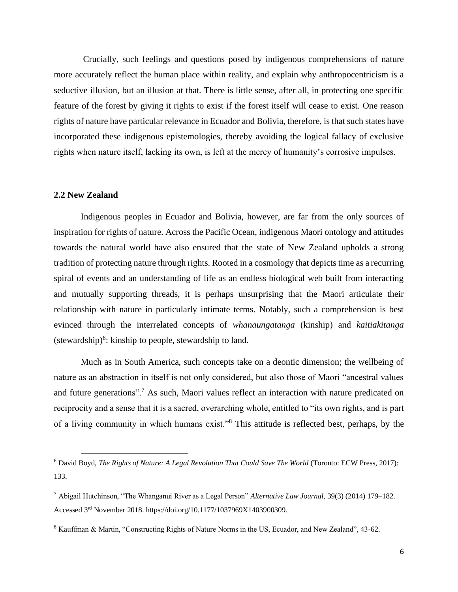Crucially, such feelings and questions posed by indigenous comprehensions of nature more accurately reflect the human place within reality, and explain why anthropocentricism is a seductive illusion, but an illusion at that. There is little sense, after all, in protecting one specific feature of the forest by giving it rights to exist if the forest itself will cease to exist. One reason rights of nature have particular relevance in Ecuador and Bolivia, therefore, is that such states have incorporated these indigenous epistemologies, thereby avoiding the logical fallacy of exclusive rights when nature itself, lacking its own, is left at the mercy of humanity's corrosive impulses.

#### **2.2 New Zealand**

Indigenous peoples in Ecuador and Bolivia, however, are far from the only sources of inspiration for rights of nature. Across the Pacific Ocean, indigenous Maori ontology and attitudes towards the natural world have also ensured that the state of New Zealand upholds a strong tradition of protecting nature through rights. Rooted in a cosmology that depicts time as a recurring spiral of events and an understanding of life as an endless biological web built from interacting and mutually supporting threads, it is perhaps unsurprising that the Maori articulate their relationship with nature in particularly intimate terms. Notably, such a comprehension is best evinced through the interrelated concepts of *whanaungatanga* (kinship) and *kaitiakitanga*   $(\text{stewardship})^6$ : kinship to people, stewardship to land.

Much as in South America, such concepts take on a deontic dimension; the wellbeing of nature as an abstraction in itself is not only considered, but also those of Maori "ancestral values and future generations".<sup>7</sup> As such, Maori values reflect an interaction with nature predicated on reciprocity and a sense that it is a sacred, overarching whole, entitled to "its own rights, and is part of a living community in which humans exist."<sup>8</sup> This attitude is reflected best, perhaps, by the

<sup>6</sup> David Boyd, *The Rights of Nature: A Legal Revolution That Could Save The World* (Toronto: ECW Press, 2017): 133.

<sup>7</sup> Abigail Hutchinson, "The Whanganui River as a Legal Person" *Alternative Law Journal*, 39(3) (2014) 179–182. Accessed 3rd November 2018. https://doi.org/10.1177/1037969X1403900309.

<sup>8</sup> Kauffman & Martin, "Constructing Rights of Nature Norms in the US, Ecuador, and New Zealand", 43-62.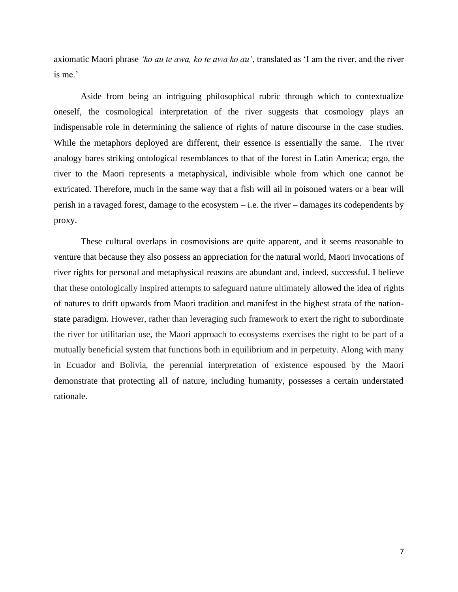axiomatic Maori phrase *'ko au te awa, ko te awa ko au'*, translated as 'I am the river, and the river is me.'

Aside from being an intriguing philosophical rubric through which to contextualize oneself, the cosmological interpretation of the river suggests that cosmology plays an indispensable role in determining the salience of rights of nature discourse in the case studies. While the metaphors deployed are different, their essence is essentially the same. The river analogy bares striking ontological resemblances to that of the forest in Latin America; ergo, the river to the Maori represents a metaphysical, indivisible whole from which one cannot be extricated. Therefore, much in the same way that a fish will ail in poisoned waters or a bear will perish in a ravaged forest, damage to the ecosystem – i.e. the river – damages its codependents by proxy.

These cultural overlaps in cosmovisions are quite apparent, and it seems reasonable to venture that because they also possess an appreciation for the natural world, Maori invocations of river rights for personal and metaphysical reasons are abundant and, indeed, successful. I believe that these ontologically inspired attempts to safeguard nature ultimately allowed the idea of rights of natures to drift upwards from Maori tradition and manifest in the highest strata of the nationstate paradigm. However, rather than leveraging such framework to exert the right to subordinate the river for utilitarian use, the Maori approach to ecosystems exercises the right to be part of a mutually beneficial system that functions both in equilibrium and in perpetuity. Along with many in Ecuador and Bolivia, the perennial interpretation of existence espoused by the Maori demonstrate that protecting all of nature, including humanity, possesses a certain understated rationale.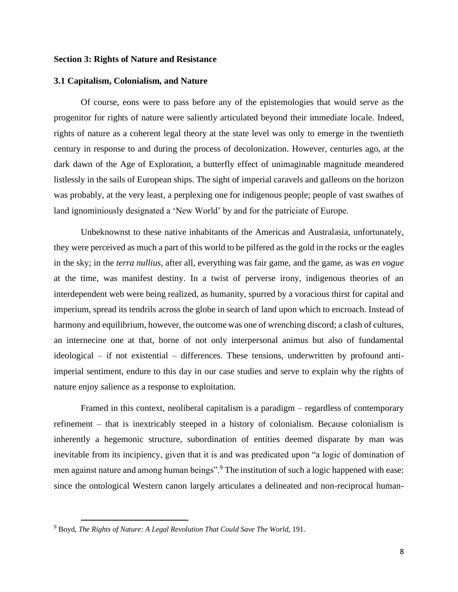### **Section 3: Rights of Nature and Resistance**

#### **3.1 Capitalism, Colonialism, and Nature**

Of course, eons were to pass before any of the epistemologies that would serve as the progenitor for rights of nature were saliently articulated beyond their immediate locale. Indeed, rights of nature as a coherent legal theory at the state level was only to emerge in the twentieth century in response to and during the process of decolonization. However, centuries ago, at the dark dawn of the Age of Exploration, a butterfly effect of unimaginable magnitude meandered listlessly in the sails of European ships. The sight of imperial caravels and galleons on the horizon was probably, at the very least, a perplexing one for indigenous people; people of vast swathes of land ignominiously designated a 'New World' by and for the patriciate of Europe.

Unbeknownst to these native inhabitants of the Americas and Australasia, unfortunately, they were perceived as much a part of this world to be pilfered as the gold in the rocks or the eagles in the sky; in the *terra nullius*, after all, everything was fair game, and the game, as was *en vogue* at the time, was manifest destiny. In a twist of perverse irony, indigenous theories of an interdependent web were being realized, as humanity, spurred by a voracious thirst for capital and imperium, spread its tendrils across the globe in search of land upon which to encroach. Instead of harmony and equilibrium, however, the outcome was one of wrenching discord; a clash of cultures, an internecine one at that, borne of not only interpersonal animus but also of fundamental ideological – if not existential – differences. These tensions, underwritten by profound antiimperial sentiment, endure to this day in our case studies and serve to explain why the rights of nature enjoy salience as a response to exploitation.

Framed in this context, neoliberal capitalism is a paradigm – regardless of contemporary refinement – that is inextricably steeped in a history of colonialism. Because colonialism is inherently a hegemonic structure, subordination of entities deemed disparate by man was inevitable from its incipiency, given that it is and was predicated upon "a logic of domination of men against nature and among human beings".<sup>9</sup> The institution of such a logic happened with ease: since the ontological Western canon largely articulates a delineated and non-reciprocal human-

<sup>9</sup> Boyd, *The Rights of Nature: A Legal Revolution That Could Save The World,* 191.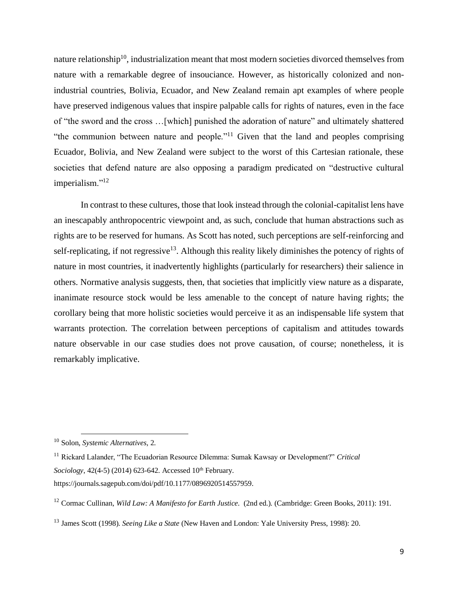nature relationship<sup>10</sup>, industrialization meant that most modern societies divorced themselves from nature with a remarkable degree of insouciance. However, as historically colonized and nonindustrial countries, Bolivia, Ecuador, and New Zealand remain apt examples of where people have preserved indigenous values that inspire palpable calls for rights of natures, even in the face of "the sword and the cross …[which] punished the adoration of nature" and ultimately shattered "the communion between nature and people."<sup>11</sup> Given that the land and peoples comprising Ecuador, Bolivia, and New Zealand were subject to the worst of this Cartesian rationale, these societies that defend nature are also opposing a paradigm predicated on "destructive cultural imperialism."<sup>12</sup>

In contrast to these cultures, those that look instead through the colonial-capitalist lens have an inescapably anthropocentric viewpoint and, as such, conclude that human abstractions such as rights are to be reserved for humans. As Scott has noted, such perceptions are self-reinforcing and self-replicating, if not regressive<sup>13</sup>. Although this reality likely diminishes the potency of rights of nature in most countries, it inadvertently highlights (particularly for researchers) their salience in others. Normative analysis suggests, then, that societies that implicitly view nature as a disparate, inanimate resource stock would be less amenable to the concept of nature having rights; the corollary being that more holistic societies would perceive it as an indispensable life system that warrants protection. The correlation between perceptions of capitalism and attitudes towards nature observable in our case studies does not prove causation, of course; nonetheless, it is remarkably implicative.

<sup>10</sup> Solon, *Systemic Alternatives*, 2.

<sup>11</sup> Rickard Lalander, "The Ecuadorian Resource Dilemma: Sumak Kawsay or Development?" *Critical Sociology*, 42(4-5) (2014) 623-642. Accessed 10<sup>th</sup> February. https://journals.sagepub.com/doi/pdf/10.1177/0896920514557959.

<sup>&</sup>lt;sup>12</sup> Cormac Cullinan, *Wild Law: A Manifesto for Earth Justice.* (2nd ed.). (Cambridge: Green Books, 2011): 191.

<sup>13</sup> James Scott (1998). *Seeing Like a State* (New Haven and London: Yale University Press, 1998): 20.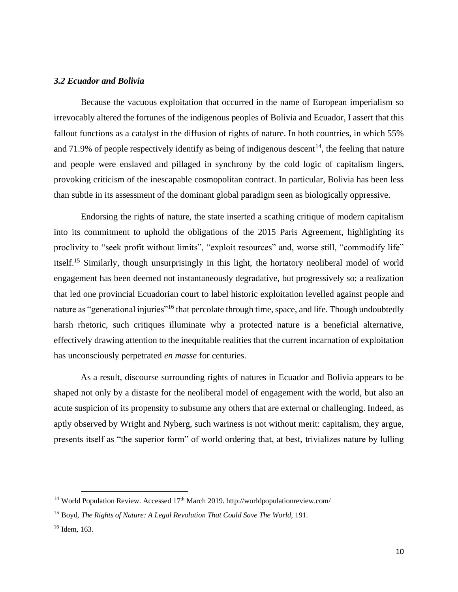### *3.2 Ecuador and Bolivia*

Because the vacuous exploitation that occurred in the name of European imperialism so irrevocably altered the fortunes of the indigenous peoples of Bolivia and Ecuador, I assert that this fallout functions as a catalyst in the diffusion of rights of nature. In both countries, in which 55% and 71.9% of people respectively identify as being of indigenous descent<sup>14</sup>, the feeling that nature and people were enslaved and pillaged in synchrony by the cold logic of capitalism lingers, provoking criticism of the inescapable cosmopolitan contract. In particular, Bolivia has been less than subtle in its assessment of the dominant global paradigm seen as biologically oppressive.

Endorsing the rights of nature, the state inserted a scathing critique of modern capitalism into its commitment to uphold the obligations of the 2015 Paris Agreement, highlighting its proclivity to "seek profit without limits", "exploit resources" and, worse still, "commodify life" itself.<sup>15</sup> Similarly, though unsurprisingly in this light, the hortatory neoliberal model of world engagement has been deemed not instantaneously degradative, but progressively so; a realization that led one provincial Ecuadorian court to label historic exploitation levelled against people and nature as "generational injuries"<sup>16</sup> that percolate through time, space, and life. Though undoubtedly harsh rhetoric, such critiques illuminate why a protected nature is a beneficial alternative, effectively drawing attention to the inequitable realities that the current incarnation of exploitation has unconsciously perpetrated *en masse* for centuries.

As a result, discourse surrounding rights of natures in Ecuador and Bolivia appears to be shaped not only by a distaste for the neoliberal model of engagement with the world, but also an acute suspicion of its propensity to subsume any others that are external or challenging. Indeed, as aptly observed by Wright and Nyberg, such wariness is not without merit: capitalism, they argue, presents itself as "the superior form" of world ordering that, at best, trivializes nature by lulling

 $14$  World Population Review. Accessed 17<sup>th</sup> March 2019[. http://worldpopulationreview.com/](http://worldpopulationreview.com/)

<sup>&</sup>lt;sup>15</sup> Boyd, *The Rights of Nature: A Legal Revolution That Could Save The World, 191.* 

 $16$  Idem, 163.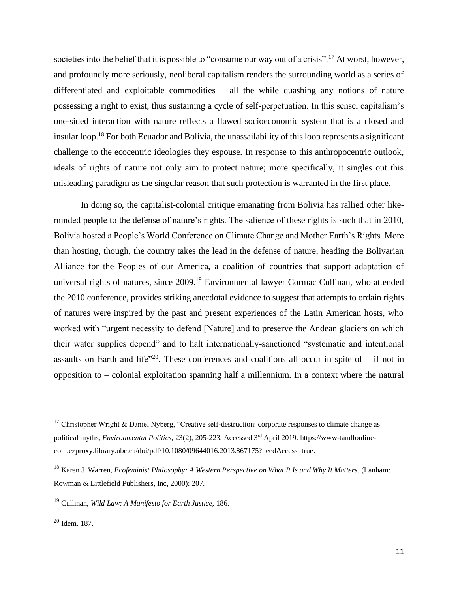societies into the belief that it is possible to "consume our way out of a crisis".<sup>17</sup> At worst, however, and profoundly more seriously, neoliberal capitalism renders the surrounding world as a series of differentiated and exploitable commodities – all the while quashing any notions of nature possessing a right to exist, thus sustaining a cycle of self-perpetuation. In this sense, capitalism's one-sided interaction with nature reflects a flawed socioeconomic system that is a closed and insular loop.<sup>18</sup> For both Ecuador and Bolivia, the unassailability of this loop represents a significant challenge to the ecocentric ideologies they espouse. In response to this anthropocentric outlook, ideals of rights of nature not only aim to protect nature; more specifically, it singles out this misleading paradigm as the singular reason that such protection is warranted in the first place.

In doing so, the capitalist-colonial critique emanating from Bolivia has rallied other likeminded people to the defense of nature's rights. The salience of these rights is such that in 2010, Bolivia hosted a People's World Conference on Climate Change and Mother Earth's Rights. More than hosting, though, the country takes the lead in the defense of nature, heading the Bolivarian Alliance for the Peoples of our America, a coalition of countries that support adaptation of universal rights of natures, since 2009.<sup>19</sup> Environmental lawyer Cormac Cullinan, who attended the 2010 conference, provides striking anecdotal evidence to suggest that attempts to ordain rights of natures were inspired by the past and present experiences of the Latin American hosts, who worked with "urgent necessity to defend [Nature] and to preserve the Andean glaciers on which their water supplies depend" and to halt internationally-sanctioned "systematic and intentional assaults on Earth and life<sup> $20$ </sup>. These conferences and coalitions all occur in spite of – if not in opposition to – colonial exploitation spanning half a millennium. In a context where the natural

<sup>&</sup>lt;sup>17</sup> Christopher Wright & Daniel Nyberg, "Creative self-destruction: corporate responses to climate change as political myths*, Environmental Politics*, 23(2), 205-223. Accessed 3rd April 2019. [https://www-tandfonline](https://www-tandfonline-com.ezproxy.library.ubc.ca/doi/pdf/10.1080/09644016.2013.867175?needAccess=true)[com.ezproxy.library.ubc.ca/doi/pdf/10.1080/09644016.2013.867175?needAccess=true.](https://www-tandfonline-com.ezproxy.library.ubc.ca/doi/pdf/10.1080/09644016.2013.867175?needAccess=true)

<sup>18</sup> Karen J. Warren, *Ecofeminist Philosophy: A Western Perspective on What It Is and Why It Matters.* (Lanham: Rowman & Littlefield Publishers, Inc, 2000): 207.

<sup>19</sup> Cullinan, *Wild Law: A Manifesto for Earth Justice,* 186.

<sup>20</sup> Idem, 187.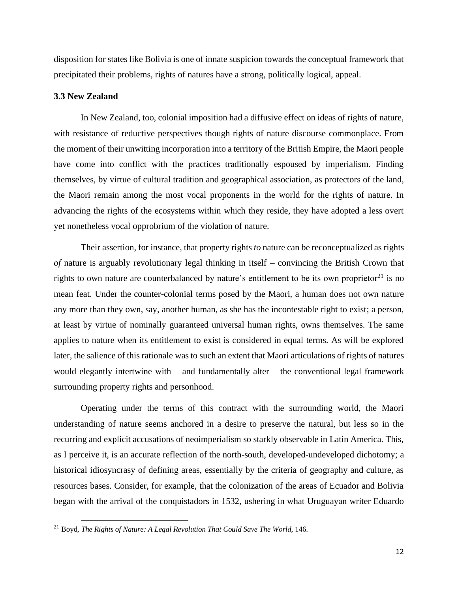disposition for states like Bolivia is one of innate suspicion towards the conceptual framework that precipitated their problems, rights of natures have a strong, politically logical, appeal.

## **3.3 New Zealand**

In New Zealand, too, colonial imposition had a diffusive effect on ideas of rights of nature, with resistance of reductive perspectives though rights of nature discourse commonplace. From the moment of their unwitting incorporation into a territory of the British Empire, the Maori people have come into conflict with the practices traditionally espoused by imperialism. Finding themselves, by virtue of cultural tradition and geographical association, as protectors of the land, the Maori remain among the most vocal proponents in the world for the rights of nature. In advancing the rights of the ecosystems within which they reside, they have adopted a less overt yet nonetheless vocal opprobrium of the violation of nature.

Their assertion, for instance, that property rights *to* nature can be reconceptualized as rights *of* nature is arguably revolutionary legal thinking in itself – convincing the British Crown that rights to own nature are counterbalanced by nature's entitlement to be its own proprietor<sup>21</sup> is no mean feat. Under the counter-colonial terms posed by the Maori, a human does not own nature any more than they own, say, another human, as she has the incontestable right to exist; a person, at least by virtue of nominally guaranteed universal human rights, owns themselves. The same applies to nature when its entitlement to exist is considered in equal terms. As will be explored later, the salience of this rationale was to such an extent that Maori articulations of rights of natures would elegantly intertwine with – and fundamentally alter – the conventional legal framework surrounding property rights and personhood.

Operating under the terms of this contract with the surrounding world, the Maori understanding of nature seems anchored in a desire to preserve the natural, but less so in the recurring and explicit accusations of neoimperialism so starkly observable in Latin America. This, as I perceive it, is an accurate reflection of the north-south, developed-undeveloped dichotomy; a historical idiosyncrasy of defining areas, essentially by the criteria of geography and culture, as resources bases. Consider, for example, that the colonization of the areas of Ecuador and Bolivia began with the arrival of the conquistadors in 1532, ushering in what Uruguayan writer Eduardo

<sup>21</sup> Boyd, *The Rights of Nature: A Legal Revolution That Could Save The World*, 146.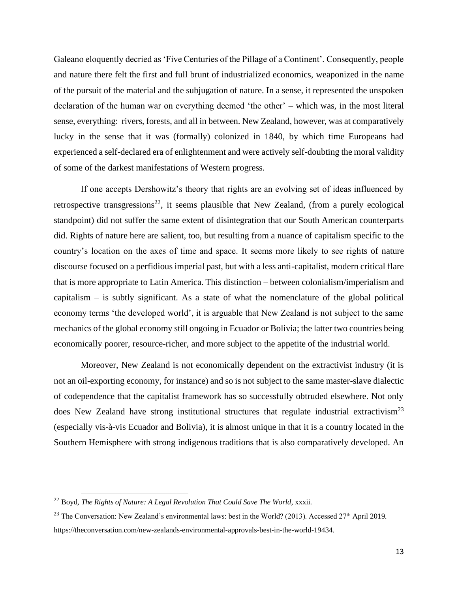Galeano eloquently decried as 'Five Centuries of the Pillage of a Continent'. Consequently, people and nature there felt the first and full brunt of industrialized economics, weaponized in the name of the pursuit of the material and the subjugation of nature. In a sense, it represented the unspoken declaration of the human war on everything deemed 'the other' – which was, in the most literal sense, everything: rivers, forests, and all in between. New Zealand, however, was at comparatively lucky in the sense that it was (formally) colonized in 1840, by which time Europeans had experienced a self-declared era of enlightenment and were actively self-doubting the moral validity of some of the darkest manifestations of Western progress.

If one accepts Dershowitz's theory that rights are an evolving set of ideas influenced by retrospective transgressions<sup>22</sup>, it seems plausible that New Zealand, (from a purely ecological standpoint) did not suffer the same extent of disintegration that our South American counterparts did. Rights of nature here are salient, too, but resulting from a nuance of capitalism specific to the country's location on the axes of time and space. It seems more likely to see rights of nature discourse focused on a perfidious imperial past, but with a less anti-capitalist, modern critical flare that is more appropriate to Latin America. This distinction – between colonialism/imperialism and capitalism  $-$  is subtly significant. As a state of what the nomenclature of the global political economy terms 'the developed world', it is arguable that New Zealand is not subject to the same mechanics of the global economy still ongoing in Ecuador or Bolivia; the latter two countries being economically poorer, resource-richer, and more subject to the appetite of the industrial world.

Moreover, New Zealand is not economically dependent on the extractivist industry (it is not an oil-exporting economy, for instance) and so is not subject to the same master-slave dialectic of codependence that the capitalist framework has so successfully obtruded elsewhere. Not only does New Zealand have strong institutional structures that regulate industrial extractivism<sup>23</sup> (especially vis-à-vis Ecuador and Bolivia), it is almost unique in that it is a country located in the Southern Hemisphere with strong indigenous traditions that is also comparatively developed. An

<sup>&</sup>lt;sup>22</sup> Boyd, *The Rights of Nature: A Legal Revolution That Could Save The World*, xxxii.

<sup>&</sup>lt;sup>23</sup> The Conversation: New Zealand's environmental laws: best in the World? (2013). Accessed  $27<sup>th</sup>$  April 2019. [https://theconversation.com/new-zealands-environmental-approvals-best-in-the-world-19434.](https://theconversation.com/new-zealands-environmental-approvals-best-in-the-world-19434)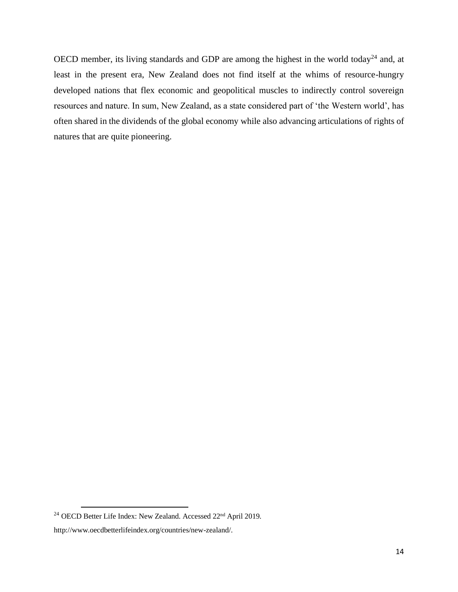OECD member, its living standards and GDP are among the highest in the world today<sup>24</sup> and, at least in the present era, New Zealand does not find itself at the whims of resource-hungry developed nations that flex economic and geopolitical muscles to indirectly control sovereign resources and nature. In sum, New Zealand, as a state considered part of 'the Western world', has often shared in the dividends of the global economy while also advancing articulations of rights of natures that are quite pioneering.

<sup>&</sup>lt;sup>24</sup> OECD Better Life Index: New Zealand. Accessed 22<sup>nd</sup> April 2019.

[http://www.oecdbetterlifeindex.org/countries/new-zealand/.](http://www.oecdbetterlifeindex.org/countries/new-zealand/)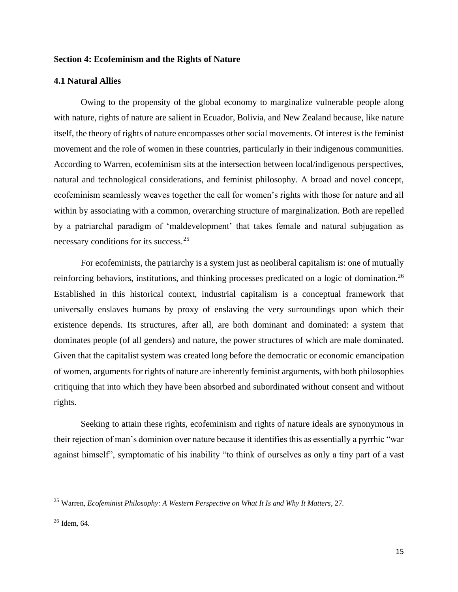## **Section 4: Ecofeminism and the Rights of Nature**

#### **4.1 Natural Allies**

Owing to the propensity of the global economy to marginalize vulnerable people along with nature, rights of nature are salient in Ecuador, Bolivia, and New Zealand because, like nature itself, the theory of rights of nature encompasses other social movements. Of interest is the feminist movement and the role of women in these countries, particularly in their indigenous communities. According to Warren, ecofeminism sits at the intersection between local/indigenous perspectives, natural and technological considerations, and feminist philosophy. A broad and novel concept, ecofeminism seamlessly weaves together the call for women's rights with those for nature and all within by associating with a common, overarching structure of marginalization. Both are repelled by a patriarchal paradigm of 'maldevelopment' that takes female and natural subjugation as necessary conditions for its success.<sup>25</sup>

For ecofeminists, the patriarchy is a system just as neoliberal capitalism is: one of mutually reinforcing behaviors, institutions, and thinking processes predicated on a logic of domination.<sup>26</sup> Established in this historical context, industrial capitalism is a conceptual framework that universally enslaves humans by proxy of enslaving the very surroundings upon which their existence depends. Its structures, after all, are both dominant and dominated: a system that dominates people (of all genders) and nature, the power structures of which are male dominated. Given that the capitalist system was created long before the democratic or economic emancipation of women, arguments for rights of nature are inherently feminist arguments, with both philosophies critiquing that into which they have been absorbed and subordinated without consent and without rights.

Seeking to attain these rights, ecofeminism and rights of nature ideals are synonymous in their rejection of man's dominion over nature because it identifies this as essentially a pyrrhic "war against himself", symptomatic of his inability "to think of ourselves as only a tiny part of a vast

<sup>25</sup> Warren, *Ecofeminist Philosophy: A Western Perspective on What It Is and Why It Matters*, 27.

 $26$  Idem, 64.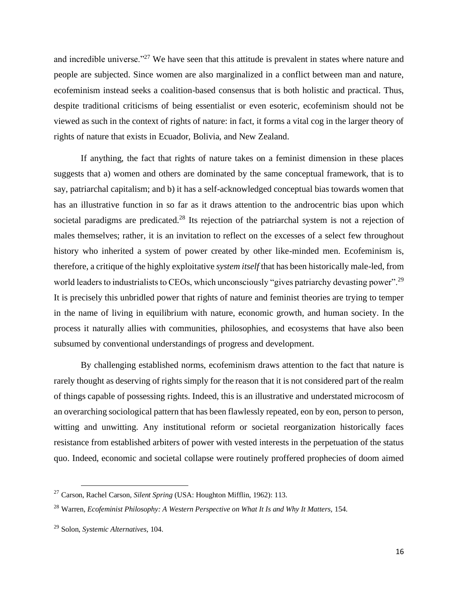and incredible universe."<sup>27</sup> We have seen that this attitude is prevalent in states where nature and people are subjected. Since women are also marginalized in a conflict between man and nature, ecofeminism instead seeks a coalition-based consensus that is both holistic and practical. Thus, despite traditional criticisms of being essentialist or even esoteric, ecofeminism should not be viewed as such in the context of rights of nature: in fact, it forms a vital cog in the larger theory of rights of nature that exists in Ecuador, Bolivia, and New Zealand.

If anything, the fact that rights of nature takes on a feminist dimension in these places suggests that a) women and others are dominated by the same conceptual framework, that is to say, patriarchal capitalism; and b) it has a self-acknowledged conceptual bias towards women that has an illustrative function in so far as it draws attention to the androcentric bias upon which societal paradigms are predicated.<sup>28</sup> Its rejection of the patriarchal system is not a rejection of males themselves; rather, it is an invitation to reflect on the excesses of a select few throughout history who inherited a system of power created by other like-minded men. Ecofeminism is, therefore, a critique of the highly exploitative *system itself* that has been historically male-led, from world leaders to industrialists to CEOs, which unconsciously "gives patriarchy devasting power".<sup>29</sup> It is precisely this unbridled power that rights of nature and feminist theories are trying to temper in the name of living in equilibrium with nature, economic growth, and human society. In the process it naturally allies with communities, philosophies, and ecosystems that have also been subsumed by conventional understandings of progress and development.

By challenging established norms, ecofeminism draws attention to the fact that nature is rarely thought as deserving of rights simply for the reason that it is not considered part of the realm of things capable of possessing rights. Indeed, this is an illustrative and understated microcosm of an overarching sociological pattern that has been flawlessly repeated, eon by eon, person to person, witting and unwitting. Any institutional reform or societal reorganization historically faces resistance from established arbiters of power with vested interests in the perpetuation of the status quo. Indeed, economic and societal collapse were routinely proffered prophecies of doom aimed

<sup>27</sup> Carson, Rachel Carson, *Silent Spring* (USA: Houghton Mifflin, 1962): 113.

<sup>&</sup>lt;sup>28</sup> Warren, *Ecofeminist Philosophy: A Western Perspective on What It Is and Why It Matters,* 154.

<sup>29</sup> Solon, *Systemic Alternatives*, 104.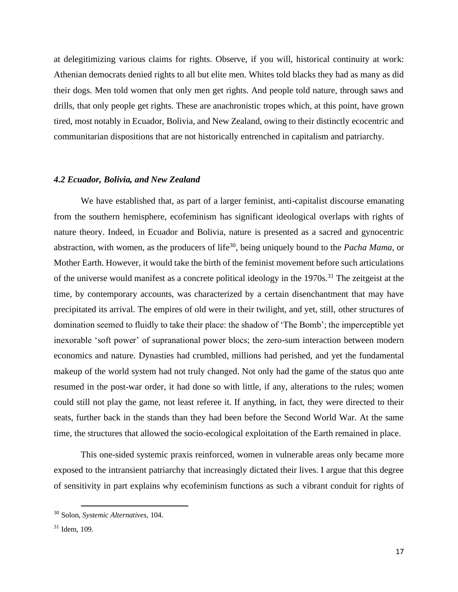at delegitimizing various claims for rights. Observe, if you will, historical continuity at work: Athenian democrats denied rights to all but elite men. Whites told blacks they had as many as did their dogs. Men told women that only men get rights. And people told nature, through saws and drills, that only people get rights. These are anachronistic tropes which, at this point, have grown tired, most notably in Ecuador, Bolivia, and New Zealand, owing to their distinctly ecocentric and communitarian dispositions that are not historically entrenched in capitalism and patriarchy.

#### *4.2 Ecuador, Bolivia, and New Zealand*

We have established that, as part of a larger feminist, anti-capitalist discourse emanating from the southern hemisphere, ecofeminism has significant ideological overlaps with rights of nature theory. Indeed, in Ecuador and Bolivia, nature is presented as a sacred and gynocentric abstraction, with women, as the producers of life<sup>30</sup>, being uniquely bound to the *Pacha Mama*, or Mother Earth. However, it would take the birth of the feminist movement before such articulations of the universe would manifest as a concrete political ideology in the 1970s.<sup>31</sup> The zeitgeist at the time, by contemporary accounts, was characterized by a certain disenchantment that may have precipitated its arrival. The empires of old were in their twilight, and yet, still, other structures of domination seemed to fluidly to take their place: the shadow of 'The Bomb'; the imperceptible yet inexorable 'soft power' of supranational power blocs; the zero-sum interaction between modern economics and nature. Dynasties had crumbled, millions had perished, and yet the fundamental makeup of the world system had not truly changed. Not only had the game of the status quo ante resumed in the post-war order, it had done so with little, if any, alterations to the rules; women could still not play the game, not least referee it. If anything, in fact, they were directed to their seats, further back in the stands than they had been before the Second World War. At the same time, the structures that allowed the socio-ecological exploitation of the Earth remained in place.

This one-sided systemic praxis reinforced, women in vulnerable areas only became more exposed to the intransient patriarchy that increasingly dictated their lives. I argue that this degree of sensitivity in part explains why ecofeminism functions as such a vibrant conduit for rights of

<sup>30</sup> Solon, *Systemic Alternatives*, 104.

 $31$  Idem, 109.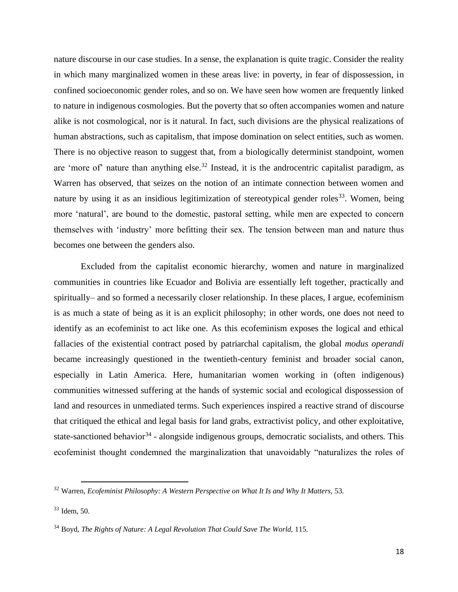nature discourse in our case studies. In a sense, the explanation is quite tragic. Consider the reality in which many marginalized women in these areas live: in poverty, in fear of dispossession, in confined socioeconomic gender roles, and so on. We have seen how women are frequently linked to nature in indigenous cosmologies. But the poverty that so often accompanies women and nature alike is not cosmological, nor is it natural. In fact, such divisions are the physical realizations of human abstractions, such as capitalism, that impose domination on select entities, such as women. There is no objective reason to suggest that, from a biologically determinist standpoint, women are 'more of' nature than anything else.<sup>32</sup> Instead, it is the androcentric capitalist paradigm, as Warren has observed, that seizes on the notion of an intimate connection between women and nature by using it as an insidious legitimization of stereotypical gender roles<sup>33</sup>. Women, being more 'natural', are bound to the domestic, pastoral setting, while men are expected to concern themselves with 'industry' more befitting their sex. The tension between man and nature thus becomes one between the genders also.

Excluded from the capitalist economic hierarchy, women and nature in marginalized communities in countries like Ecuador and Bolivia are essentially left together, practically and spiritually– and so formed a necessarily closer relationship. In these places, I argue, ecofeminism is as much a state of being as it is an explicit philosophy; in other words, one does not need to identify as an ecofeminist to act like one. As this ecofeminism exposes the logical and ethical fallacies of the existential contract posed by patriarchal capitalism, the global *modus operandi* became increasingly questioned in the twentieth-century feminist and broader social canon, especially in Latin America. Here, humanitarian women working in (often indigenous) communities witnessed suffering at the hands of systemic social and ecological dispossession of land and resources in unmediated terms. Such experiences inspired a reactive strand of discourse that critiqued the ethical and legal basis for land grabs, extractivist policy, and other exploitative, state-sanctioned behavior<sup>34</sup> - alongside indigenous groups, democratic socialists, and others. This ecofeminist thought condemned the marginalization that unavoidably "naturalizes the roles of

<sup>&</sup>lt;sup>32</sup> Warren, *Ecofeminist Philosophy: A Western Perspective on What It Is and Why It Matters, 53.* 

<sup>33</sup> Idem, 50.

<sup>&</sup>lt;sup>34</sup> Boyd, *The Rights of Nature: A Legal Revolution That Could Save The World, 115.*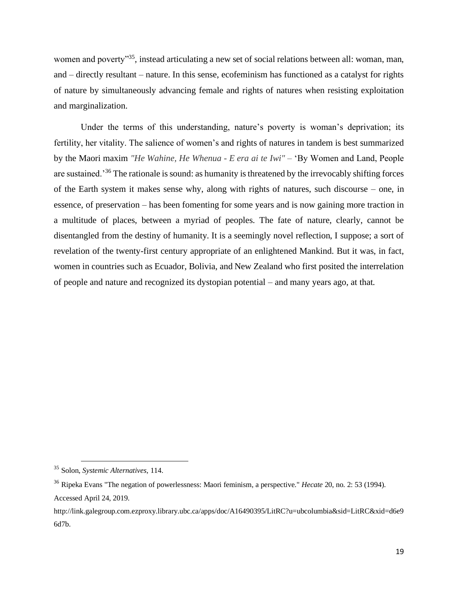women and poverty<sup>35</sup>, instead articulating a new set of social relations between all: woman, man, and – directly resultant – nature. In this sense, ecofeminism has functioned as a catalyst for rights of nature by simultaneously advancing female and rights of natures when resisting exploitation and marginalization.

Under the terms of this understanding, nature's poverty is woman's deprivation; its fertility, her vitality. The salience of women's and rights of natures in tandem is best summarized by the Maori maxim *"He Wahine, He Whenua - E era ai te Iwi"* – 'By Women and Land, People are sustained.'<sup>36</sup> The rationale is sound: as humanity is threatened by the irrevocably shifting forces of the Earth system it makes sense why, along with rights of natures, such discourse – one, in essence, of preservation – has been fomenting for some years and is now gaining more traction in a multitude of places, between a myriad of peoples. The fate of nature, clearly, cannot be disentangled from the destiny of humanity. It is a seemingly novel reflection, I suppose; a sort of revelation of the twenty-first century appropriate of an enlightened Mankind. But it was, in fact, women in countries such as Ecuador, Bolivia, and New Zealand who first posited the interrelation of people and nature and recognized its dystopian potential – and many years ago, at that.

<sup>35</sup> Solon, *Systemic Alternatives*, 114.

<sup>36</sup> Ripeka Evans "The negation of powerlessness: Maori feminism, a perspective." *Hecate* 20, no. 2: 53 (1994). Accessed April 24, 2019.

http://link.galegroup.com.ezproxy.library.ubc.ca/apps/doc/A16490395/LitRC?u=ubcolumbia&sid=LitRC&xid=d6e9 6d7b.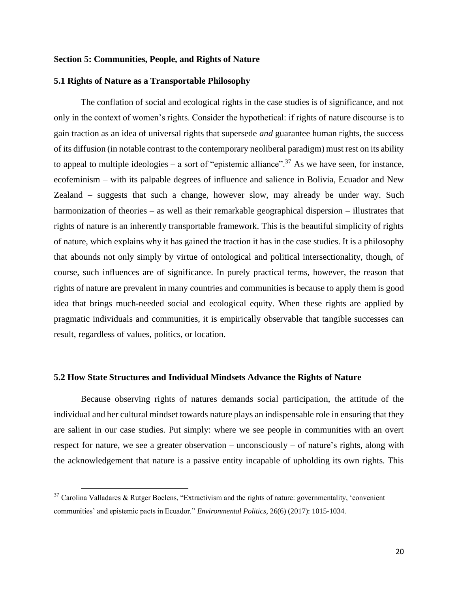### **Section 5: Communities, People, and Rights of Nature**

#### **5.1 Rights of Nature as a Transportable Philosophy**

The conflation of social and ecological rights in the case studies is of significance, and not only in the context of women's rights. Consider the hypothetical: if rights of nature discourse is to gain traction as an idea of universal rights that supersede *and* guarantee human rights, the success of its diffusion (in notable contrast to the contemporary neoliberal paradigm) must rest on its ability to appeal to multiple ideologies – a sort of "epistemic alliance".<sup>37</sup> As we have seen, for instance, ecofeminism – with its palpable degrees of influence and salience in Bolivia, Ecuador and New Zealand – suggests that such a change, however slow, may already be under way. Such harmonization of theories – as well as their remarkable geographical dispersion – illustrates that rights of nature is an inherently transportable framework. This is the beautiful simplicity of rights of nature, which explains why it has gained the traction it has in the case studies. It is a philosophy that abounds not only simply by virtue of ontological and political intersectionality, though, of course, such influences are of significance. In purely practical terms, however, the reason that rights of nature are prevalent in many countries and communities is because to apply them is good idea that brings much-needed social and ecological equity. When these rights are applied by pragmatic individuals and communities, it is empirically observable that tangible successes can result, regardless of values, politics, or location.

#### **5.2 How State Structures and Individual Mindsets Advance the Rights of Nature**

Because observing rights of natures demands social participation, the attitude of the individual and her cultural mindset towards nature plays an indispensable role in ensuring that they are salient in our case studies. Put simply: where we see people in communities with an overt respect for nature, we see a greater observation – unconsciously – of nature's rights, along with the acknowledgement that nature is a passive entity incapable of upholding its own rights. This

 $37$  Carolina Valladares & Rutger Boelens, "Extractivism and the rights of nature: governmentality, 'convenient communities' and epistemic pacts in Ecuador." *Environmental Politics*, 26(6) (2017): 1015-1034.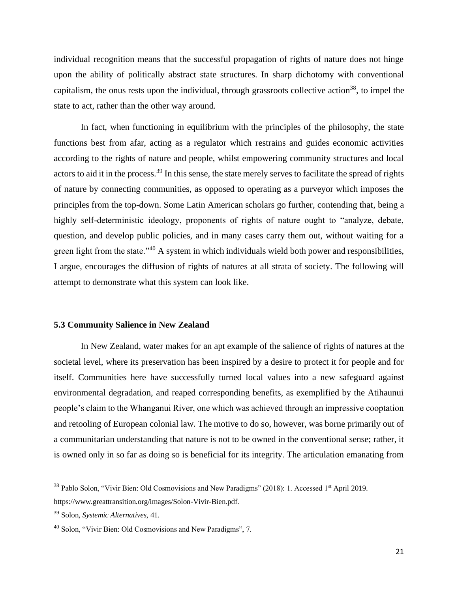individual recognition means that the successful propagation of rights of nature does not hinge upon the ability of politically abstract state structures. In sharp dichotomy with conventional capitalism, the onus rests upon the individual, through grassroots collective action<sup>38</sup>, to impel the state to act, rather than the other way around.

In fact, when functioning in equilibrium with the principles of the philosophy, the state functions best from afar, acting as a regulator which restrains and guides economic activities according to the rights of nature and people, whilst empowering community structures and local actors to aid it in the process.<sup>39</sup> In this sense, the state merely serves to facilitate the spread of rights of nature by connecting communities, as opposed to operating as a purveyor which imposes the principles from the top-down. Some Latin American scholars go further, contending that, being a highly self-deterministic ideology, proponents of rights of nature ought to "analyze, debate, question, and develop public policies, and in many cases carry them out, without waiting for a green light from the state."<sup>40</sup> A system in which individuals wield both power and responsibilities, I argue, encourages the diffusion of rights of natures at all strata of society. The following will attempt to demonstrate what this system can look like.

### **5.3 Community Salience in New Zealand**

In New Zealand, water makes for an apt example of the salience of rights of natures at the societal level, where its preservation has been inspired by a desire to protect it for people and for itself. Communities here have successfully turned local values into a new safeguard against environmental degradation, and reaped corresponding benefits, as exemplified by the Atihaunui people's claim to the Whanganui River, one which was achieved through an impressive cooptation and retooling of European colonial law. The motive to do so, however, was borne primarily out of a communitarian understanding that nature is not to be owned in the conventional sense; rather, it is owned only in so far as doing so is beneficial for its integrity. The articulation emanating from

<sup>&</sup>lt;sup>38</sup> Pablo Solon, "Vivir Bien: Old Cosmovisions and New Paradigms" (2018): 1. Accessed 1<sup>st</sup> April 2019. https://www.greattransition.org/images/Solon-Vivir-Bien.pdf.

<sup>39</sup> Solon, *Systemic Alternatives*, 41.

<sup>&</sup>lt;sup>40</sup> [Solon, "Vivir Bien: Old Cosmovisions and New Paradigms"](https://www.greattransition.org/images/Solon-Vivir-Bien.pdf), 7.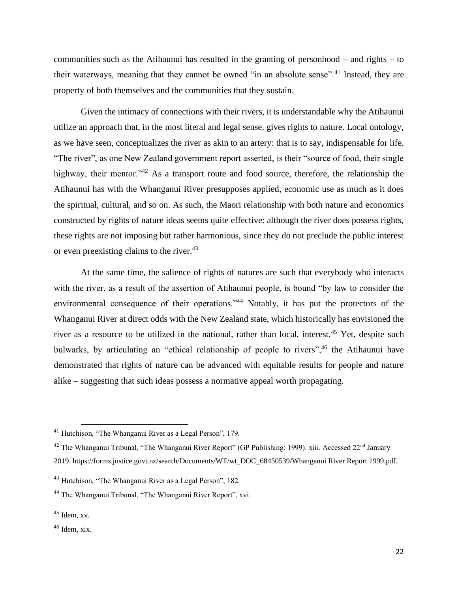communities such as the Atihaunui has resulted in the granting of personhood – and rights – to their waterways, meaning that they cannot be owned "in an absolute sense".<sup>41</sup> Instead, they are property of both themselves and the communities that they sustain.

Given the intimacy of connections with their rivers, it is understandable why the Atihaunui utilize an approach that, in the most literal and legal sense, gives rights to nature. Local ontology, as we have seen, conceptualizes the river as akin to an artery: that is to say, indispensable for life. "The river", as one New Zealand government report asserted, is their "source of food, their single highway, their mentor. $142$  As a transport route and food source, therefore, the relationship the Atihaunui has with the Whanganui River presupposes applied, economic use as much as it does the spiritual, cultural, and so on. As such, the Maori relationship with both nature and economics constructed by rights of nature ideas seems quite effective: although the river does possess rights, these rights are not imposing but rather harmonious, since they do not preclude the public interest or even preexisting claims to the river.<sup>43</sup>

At the same time, the salience of rights of natures are such that everybody who interacts with the river, as a result of the assertion of Atihaunui people, is bound "by law to consider the environmental consequence of their operations."<sup>44</sup> Notably, it has put the protectors of the Whanganui River at direct odds with the New Zealand state, which historically has envisioned the river as a resource to be utilized in the national, rather than local, interest.<sup>45</sup> Yet, despite such bulwarks, by articulating an "ethical relationship of people to rivers", <sup>46</sup> the Atihaunui have demonstrated that rights of nature can be advanced with equitable results for people and nature alike – suggesting that such ideas possess a normative appeal worth propagating.

<sup>41</sup> Hutchison, "The Whanganui River as a Legal Person", 179.

<sup>&</sup>lt;sup>42</sup> The Whanganui Tribunal, "The Whanganui River Report" (GP Publishing: 1999): xiii. Accessed  $22<sup>nd</sup>$  January 2019. https://forms.justice.govt.nz/search/Documents/WT/wt\_DOC\_68450539/Whanganui River Report 1999.pdf.

<sup>43</sup> Hutchison, "The Whanganui River as a Legal Person", 182.

<sup>44</sup> The Whanganui Tribunal, "The Whanganui River Report", xvi.

 $45$  Idem, xv.

 $46$  Idem, xix.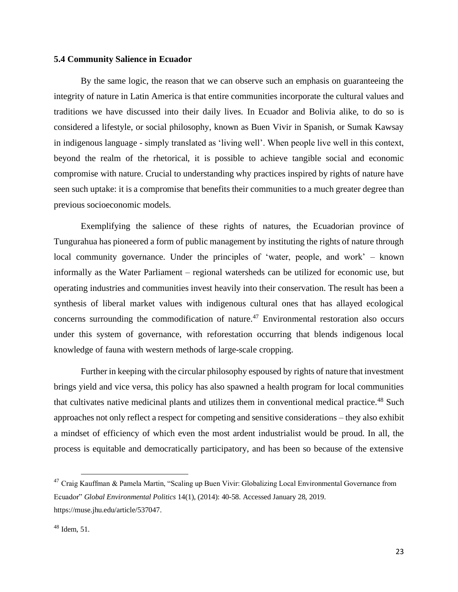### **5.4 Community Salience in Ecuador**

By the same logic, the reason that we can observe such an emphasis on guaranteeing the integrity of nature in Latin America is that entire communities incorporate the cultural values and traditions we have discussed into their daily lives. In Ecuador and Bolivia alike, to do so is considered a lifestyle, or social philosophy, known as Buen Vivir in Spanish, or Sumak Kawsay in indigenous language - simply translated as 'living well'. When people live well in this context, beyond the realm of the rhetorical, it is possible to achieve tangible social and economic compromise with nature. Crucial to understanding why practices inspired by rights of nature have seen such uptake: it is a compromise that benefits their communities to a much greater degree than previous socioeconomic models.

Exemplifying the salience of these rights of natures, the Ecuadorian province of Tungurahua has pioneered a form of public management by instituting the rights of nature through local community governance. Under the principles of 'water, people, and work' – known informally as the Water Parliament – regional watersheds can be utilized for economic use, but operating industries and communities invest heavily into their conservation. The result has been a synthesis of liberal market values with indigenous cultural ones that has allayed ecological concerns surrounding the commodification of nature.<sup>47</sup> Environmental restoration also occurs under this system of governance, with reforestation occurring that blends indigenous local knowledge of fauna with western methods of large-scale cropping.

Further in keeping with the circular philosophy espoused by rights of nature that investment brings yield and vice versa, this policy has also spawned a health program for local communities that cultivates native medicinal plants and utilizes them in conventional medical practice.<sup>48</sup> Such approaches not only reflect a respect for competing and sensitive considerations – they also exhibit a mindset of efficiency of which even the most ardent industrialist would be proud. In all, the process is equitable and democratically participatory, and has been so because of the extensive

<sup>&</sup>lt;sup>47</sup> Craig Kauffman & Pamela Martin, "Scaling up Buen Vivir: Globalizing Local Environmental Governance from Ecuador" *Global Environmental Politics* 14(1), (2014): 40-58. Accessed January 28, 2019. [https://muse.jhu.edu/article/537047.](https://muse.jhu.edu/article/537047)

 $48$  Idem, 51.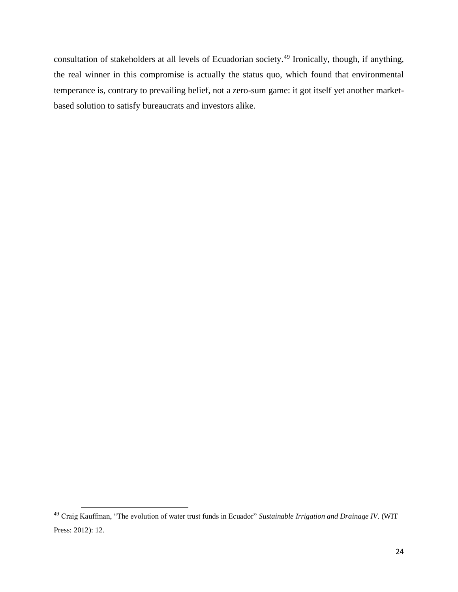consultation of stakeholders at all levels of Ecuadorian society.<sup>49</sup> Ironically, though, if anything, the real winner in this compromise is actually the status quo, which found that environmental temperance is, contrary to prevailing belief, not a zero-sum game: it got itself yet another marketbased solution to satisfy bureaucrats and investors alike.

<sup>49</sup> Craig Kauffman, "The evolution of water trust funds in Ecuador" *Sustainable Irrigation and Drainage IV*. (WIT Press: 2012): 12.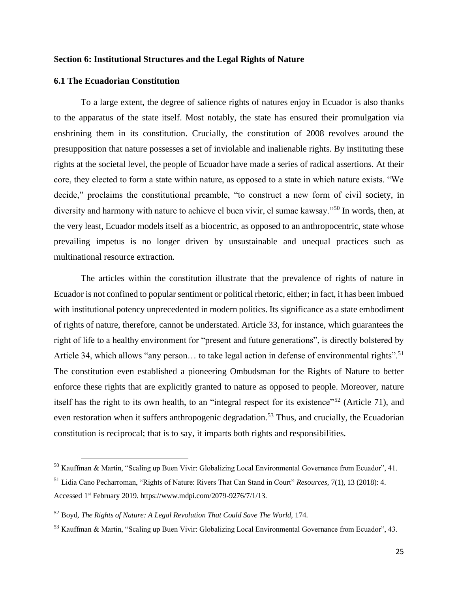## **Section 6: Institutional Structures and the Legal Rights of Nature**

#### **6.1 The Ecuadorian Constitution**

To a large extent, the degree of salience rights of natures enjoy in Ecuador is also thanks to the apparatus of the state itself. Most notably, the state has ensured their promulgation via enshrining them in its constitution. Crucially, the constitution of 2008 revolves around the presupposition that nature possesses a set of inviolable and inalienable rights. By instituting these rights at the societal level, the people of Ecuador have made a series of radical assertions. At their core, they elected to form a state within nature, as opposed to a state in which nature exists. "We decide," proclaims the constitutional preamble, "to construct a new form of civil society, in diversity and harmony with nature to achieve el buen vivir, el sumac kawsay."<sup>50</sup> In words, then, at the very least, Ecuador models itself as a biocentric, as opposed to an anthropocentric, state whose prevailing impetus is no longer driven by unsustainable and unequal practices such as multinational resource extraction.

The articles within the constitution illustrate that the prevalence of rights of nature in Ecuador is not confined to popular sentiment or political rhetoric, either; in fact, it has been imbued with institutional potency unprecedented in modern politics. Its significance as a state embodiment of rights of nature, therefore, cannot be understated. Article 33, for instance, which guarantees the right of life to a healthy environment for "present and future generations", is directly bolstered by Article 34, which allows "any person... to take legal action in defense of environmental rights".<sup>51</sup> The constitution even established a pioneering Ombudsman for the Rights of Nature to better enforce these rights that are explicitly granted to nature as opposed to people. Moreover, nature itself has the right to its own health, to an "integral respect for its existence"<sup>52</sup> (Article 71), and even restoration when it suffers anthropogenic degradation.<sup>53</sup> Thus, and crucially, the Ecuadorian constitution is reciprocal; that is to say, it imparts both rights and responsibilities.

<sup>50</sup> Kauffman & Martin, "Scaling up Buen Vivir: Globalizing Local Environmental Governance from Ecuador", 41.

<sup>51</sup> Lidia Cano Pecharroman, "Rights of Nature: Rivers That Can Stand in Court" *Resources*, 7(1), 13 (2018): 4. Accessed 1st February 2019. https://www.mdpi.com/2079-9276/7/1/13.

<sup>52</sup> Boyd, *The Rights of Nature: A Legal Revolution That Could Save The World,* 174.

<sup>53</sup> Kauffman & Martin, "Scaling up Buen Vivir: Globalizing Local Environmental Governance from Ecuador", 43.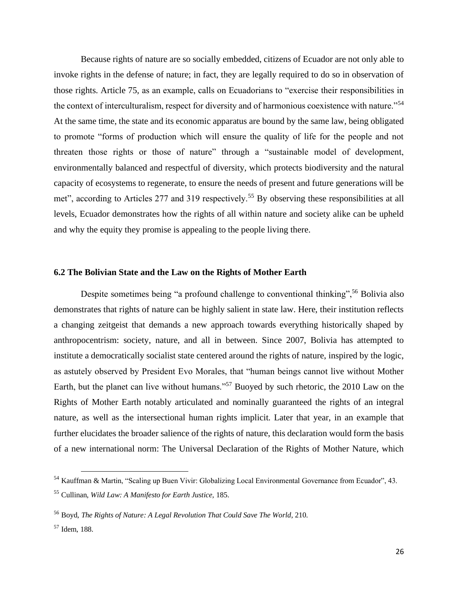Because rights of nature are so socially embedded, citizens of Ecuador are not only able to invoke rights in the defense of nature; in fact, they are legally required to do so in observation of those rights. Article 75, as an example, calls on Ecuadorians to "exercise their responsibilities in the context of interculturalism, respect for diversity and of harmonious coexistence with nature."<sup>54</sup> At the same time, the state and its economic apparatus are bound by the same law, being obligated to promote "forms of production which will ensure the quality of life for the people and not threaten those rights or those of nature" through a "sustainable model of development, environmentally balanced and respectful of diversity, which protects biodiversity and the natural capacity of ecosystems to regenerate, to ensure the needs of present and future generations will be met", according to Articles 277 and 319 respectively.<sup>55</sup> By observing these responsibilities at all levels, Ecuador demonstrates how the rights of all within nature and society alike can be upheld and why the equity they promise is appealing to the people living there.

### **6.2 The Bolivian State and the Law on the Rights of Mother Earth**

Despite sometimes being "a profound challenge to conventional thinking",<sup>56</sup> Bolivia also demonstrates that rights of nature can be highly salient in state law. Here, their institution reflects a changing zeitgeist that demands a new approach towards everything historically shaped by anthropocentrism: society, nature, and all in between. Since 2007, Bolivia has attempted to institute a democratically socialist state centered around the rights of nature, inspired by the logic, as astutely observed by President Evo Morales, that "human beings cannot live without Mother Earth, but the planet can live without humans."<sup>57</sup> Buoyed by such rhetoric, the 2010 Law on the Rights of Mother Earth notably articulated and nominally guaranteed the rights of an integral nature, as well as the intersectional human rights implicit. Later that year, in an example that further elucidates the broader salience of the rights of nature, this declaration would form the basis of a new international norm: The Universal Declaration of the Rights of Mother Nature, which

<sup>54</sup> Kauffman & Martin, "Scaling up Buen Vivir: Globalizing Local Environmental Governance from Ecuador", 43. <sup>55</sup> Cullinan, *Wild Law: A Manifesto for Earth Justice,* 185.

<sup>56</sup> Boyd, *The Rights of Nature: A Legal Revolution That Could Save The World*, 210.

<sup>57</sup> Idem, 188.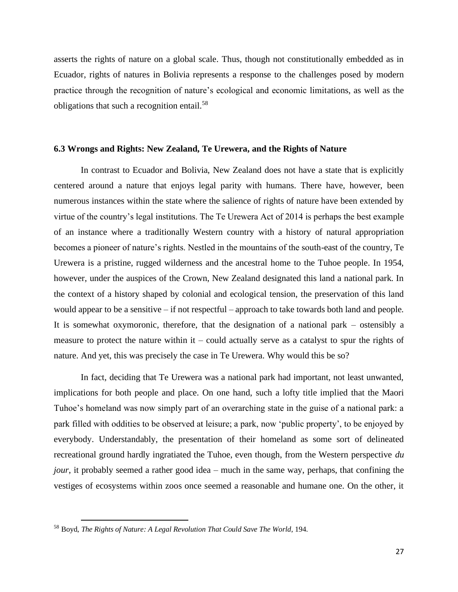asserts the rights of nature on a global scale. Thus, though not constitutionally embedded as in Ecuador, rights of natures in Bolivia represents a response to the challenges posed by modern practice through the recognition of nature's ecological and economic limitations, as well as the obligations that such a recognition entail.<sup>58</sup>

#### **6.3 Wrongs and Rights: New Zealand, Te Urewera, and the Rights of Nature**

In contrast to Ecuador and Bolivia, New Zealand does not have a state that is explicitly centered around a nature that enjoys legal parity with humans. There have, however, been numerous instances within the state where the salience of rights of nature have been extended by virtue of the country's legal institutions. The Te Urewera Act of 2014 is perhaps the best example of an instance where a traditionally Western country with a history of natural appropriation becomes a pioneer of nature's rights. Nestled in the mountains of the south-east of the country, Te Urewera is a pristine, rugged wilderness and the ancestral home to the Tuhoe people. In 1954, however, under the auspices of the Crown, New Zealand designated this land a national park. In the context of a history shaped by colonial and ecological tension, the preservation of this land would appear to be a sensitive – if not respectful – approach to take towards both land and people. It is somewhat oxymoronic, therefore, that the designation of a national park – ostensibly a measure to protect the nature within it – could actually serve as a catalyst to spur the rights of nature. And yet, this was precisely the case in Te Urewera. Why would this be so?

In fact, deciding that Te Urewera was a national park had important, not least unwanted, implications for both people and place. On one hand, such a lofty title implied that the Maori Tuhoe's homeland was now simply part of an overarching state in the guise of a national park: a park filled with oddities to be observed at leisure; a park, now 'public property', to be enjoyed by everybody. Understandably, the presentation of their homeland as some sort of delineated recreational ground hardly ingratiated the Tuhoe, even though, from the Western perspective *du jour*, it probably seemed a rather good idea – much in the same way, perhaps, that confining the vestiges of ecosystems within zoos once seemed a reasonable and humane one. On the other, it

<sup>58</sup> Boyd, *The Rights of Nature: A Legal Revolution That Could Save The World*, 194.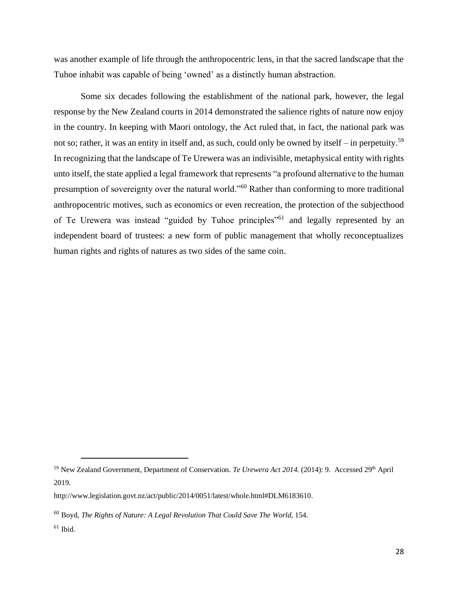was another example of life through the anthropocentric lens, in that the sacred landscape that the Tuhoe inhabit was capable of being 'owned' as a distinctly human abstraction.

Some six decades following the establishment of the national park, however, the legal response by the New Zealand courts in 2014 demonstrated the salience rights of nature now enjoy in the country. In keeping with Maori ontology, the Act ruled that, in fact, the national park was not so; rather, it was an entity in itself and, as such, could only be owned by itself – in perpetuity.<sup>59</sup> In recognizing that the landscape of Te Urewera was an indivisible, metaphysical entity with rights unto itself, the state applied a legal framework that represents "a profound alternative to the human presumption of sovereignty over the natural world."<sup>60</sup> Rather than conforming to more traditional anthropocentric motives, such as economics or even recreation, the protection of the subjecthood of Te Urewera was instead "guided by Tuhoe principles"<sup>61</sup> and legally represented by an independent board of trustees: a new form of public management that wholly reconceptualizes human rights and rights of natures as two sides of the same coin.

<sup>59</sup> New Zealand Government, Department of Conservation. *Te Urewera Act 2014.* (2014): 9.Accessed 29th April 2019.

[http://www.legislation.govt.nz/act/public/2014/0051/latest/whole.html#DLM6183610.](http://www.legislation.govt.nz/act/public/2014/0051/latest/whole.html#DLM6183610)

<sup>60</sup> Boyd, *The Rights of Nature: A Legal Revolution That Could Save The World,* 154.

 $61$  Ibid.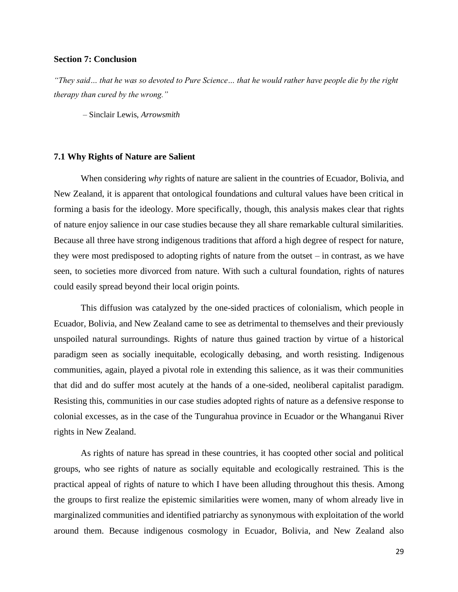## **Section 7: Conclusion**

*"They said… that he was so devoted to Pure Science… that he would rather have people die by the right therapy than cured by the wrong."*

– Sinclair Lewis, *Arrowsmith*

#### **7.1 Why Rights of Nature are Salient**

When considering *why* rights of nature are salient in the countries of Ecuador, Bolivia, and New Zealand, it is apparent that ontological foundations and cultural values have been critical in forming a basis for the ideology. More specifically, though, this analysis makes clear that rights of nature enjoy salience in our case studies because they all share remarkable cultural similarities. Because all three have strong indigenous traditions that afford a high degree of respect for nature, they were most predisposed to adopting rights of nature from the outset – in contrast, as we have seen, to societies more divorced from nature. With such a cultural foundation, rights of natures could easily spread beyond their local origin points.

This diffusion was catalyzed by the one-sided practices of colonialism, which people in Ecuador, Bolivia, and New Zealand came to see as detrimental to themselves and their previously unspoiled natural surroundings. Rights of nature thus gained traction by virtue of a historical paradigm seen as socially inequitable, ecologically debasing, and worth resisting. Indigenous communities, again, played a pivotal role in extending this salience, as it was their communities that did and do suffer most acutely at the hands of a one-sided, neoliberal capitalist paradigm. Resisting this, communities in our case studies adopted rights of nature as a defensive response to colonial excesses, as in the case of the Tungurahua province in Ecuador or the Whanganui River rights in New Zealand.

As rights of nature has spread in these countries, it has coopted other social and political groups, who see rights of nature as socially equitable and ecologically restrained. This is the practical appeal of rights of nature to which I have been alluding throughout this thesis. Among the groups to first realize the epistemic similarities were women, many of whom already live in marginalized communities and identified patriarchy as synonymous with exploitation of the world around them. Because indigenous cosmology in Ecuador, Bolivia, and New Zealand also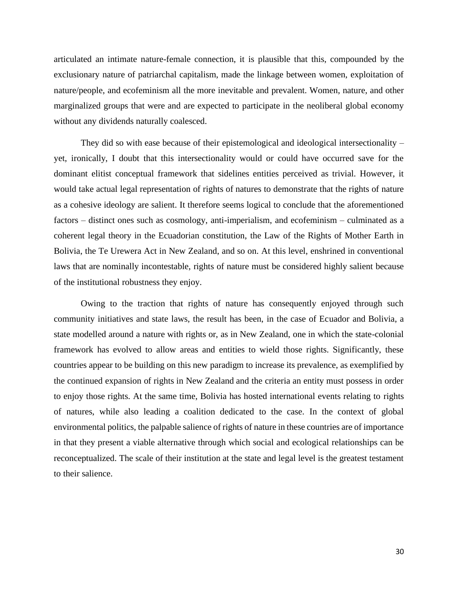articulated an intimate nature-female connection, it is plausible that this, compounded by the exclusionary nature of patriarchal capitalism, made the linkage between women, exploitation of nature/people, and ecofeminism all the more inevitable and prevalent. Women, nature, and other marginalized groups that were and are expected to participate in the neoliberal global economy without any dividends naturally coalesced.

They did so with ease because of their epistemological and ideological intersectionality – yet, ironically, I doubt that this intersectionality would or could have occurred save for the dominant elitist conceptual framework that sidelines entities perceived as trivial. However, it would take actual legal representation of rights of natures to demonstrate that the rights of nature as a cohesive ideology are salient. It therefore seems logical to conclude that the aforementioned factors – distinct ones such as cosmology, anti-imperialism, and ecofeminism – culminated as a coherent legal theory in the Ecuadorian constitution, the Law of the Rights of Mother Earth in Bolivia, the Te Urewera Act in New Zealand, and so on. At this level, enshrined in conventional laws that are nominally incontestable, rights of nature must be considered highly salient because of the institutional robustness they enjoy.

Owing to the traction that rights of nature has consequently enjoyed through such community initiatives and state laws, the result has been, in the case of Ecuador and Bolivia, a state modelled around a nature with rights or, as in New Zealand, one in which the state-colonial framework has evolved to allow areas and entities to wield those rights. Significantly, these countries appear to be building on this new paradigm to increase its prevalence, as exemplified by the continued expansion of rights in New Zealand and the criteria an entity must possess in order to enjoy those rights. At the same time, Bolivia has hosted international events relating to rights of natures, while also leading a coalition dedicated to the case. In the context of global environmental politics, the palpable salience of rights of nature in these countries are of importance in that they present a viable alternative through which social and ecological relationships can be reconceptualized. The scale of their institution at the state and legal level is the greatest testament to their salience.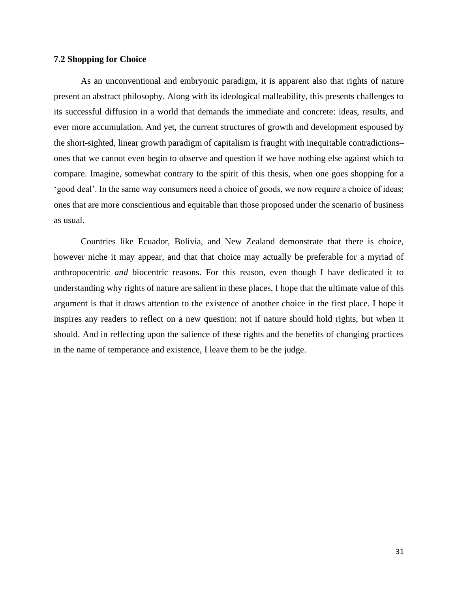## **7.2 Shopping for Choice**

As an unconventional and embryonic paradigm, it is apparent also that rights of nature present an abstract philosophy. Along with its ideological malleability, this presents challenges to its successful diffusion in a world that demands the immediate and concrete: ideas, results, and ever more accumulation. And yet, the current structures of growth and development espoused by the short-sighted, linear growth paradigm of capitalism is fraught with inequitable contradictions– ones that we cannot even begin to observe and question if we have nothing else against which to compare. Imagine, somewhat contrary to the spirit of this thesis, when one goes shopping for a 'good deal'. In the same way consumers need a choice of goods, we now require a choice of ideas; ones that are more conscientious and equitable than those proposed under the scenario of business as usual.

Countries like Ecuador, Bolivia, and New Zealand demonstrate that there is choice, however niche it may appear, and that that choice may actually be preferable for a myriad of anthropocentric *and* biocentric reasons. For this reason, even though I have dedicated it to understanding why rights of nature are salient in these places, I hope that the ultimate value of this argument is that it draws attention to the existence of another choice in the first place. I hope it inspires any readers to reflect on a new question: not if nature should hold rights, but when it should. And in reflecting upon the salience of these rights and the benefits of changing practices in the name of temperance and existence, I leave them to be the judge.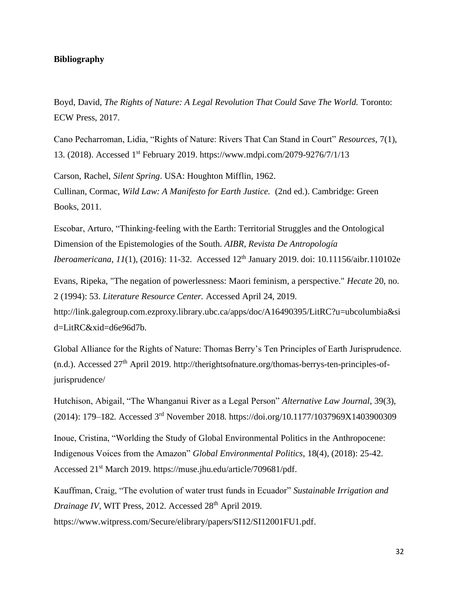## **Bibliography**

Boyd, David, *The Rights of Nature: A Legal Revolution That Could Save The World. Toronto:* ECW Press, 2017.

Cano Pecharroman, Lidia, "Rights of Nature: Rivers That Can Stand in Court" *Resources,* 7(1), 13. (2018). Accessed 1st February 2019. https://www.mdpi.com/2079-9276/7/1/13

Carson, Rachel, *Silent Spring*. USA: Houghton Mifflin, 1962. Cullinan, Cormac, *Wild Law: A Manifesto for Earth Justice.* (2nd ed.). Cambridge: Green Books, 2011.

Escobar, Arturo, "Thinking-feeling with the Earth: Territorial Struggles and the Ontological Dimension of the Epistemologies of the South. *AIBR, Revista De Antropología Iberoamericana*, *11*(1), (2016): 11-32. Accessed 12<sup>th</sup> January 2019. doi: 10.11156/aibr.110102e

Evans, Ripeka, "The negation of powerlessness: Maori feminism, a perspective." *Hecate* 20, no. 2 (1994): 53. *Literature Resource Center.* Accessed April 24, 2019. http://link.galegroup.com.ezproxy.library.ubc.ca/apps/doc/A16490395/LitRC?u=ubcolumbia&si d=LitRC&xid=d6e96d7b.

Global Alliance for the Rights of Nature: Thomas Berry's Ten Principles of Earth Jurisprudence. (n.d.). Accessed 27th April 2019. [http://therightsofnature.org/thomas-berrys-ten-principles-of](http://therightsofnature.org/thomas-berrys-ten-principles-of-jurisprudence/)[jurisprudence/](http://therightsofnature.org/thomas-berrys-ten-principles-of-jurisprudence/)

Hutchison, Abigail, "The Whanganui River as a Legal Person" *Alternative Law Journal*, 39(3), (2014): 179–182. Accessed 3rd November 2018. https://doi.org/10.1177/1037969X1403900309

Inoue, Cristina, "Worlding the Study of Global Environmental Politics in the Anthropocene: Indigenous Voices from the Amazon" *Global Environmental Politics*, 18(4), (2018): 25-42. Accessed 21<sup>st</sup> March 2019. https://muse.jhu.edu/article/709681/pdf.

Kauffman, Craig, "The evolution of water trust funds in Ecuador" *Sustainable Irrigation and Drainage IV*, WIT Press, 2012. Accessed 28<sup>th</sup> April 2019.

[https://www.witpress.com/Secure/elibrary/papers/SI12/SI12001FU1.pdf.](https://www.witpress.com/Secure/elibrary/papers/SI12/SI12001FU1.pdf)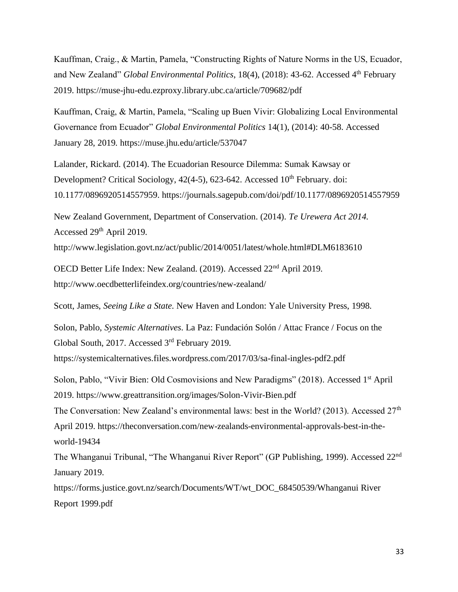Kauffman, Craig., & Martin, Pamela, "Constructing Rights of Nature Norms in the US, Ecuador, and New Zealand" *Global Environmental Politics*, 18(4), (2018): 43-62. Accessed 4<sup>th</sup> February 2019. https://muse-jhu-edu.ezproxy.library.ubc.ca/article/709682/pdf

Kauffman, Craig, & Martin, Pamela, "Scaling up Buen Vivir: Globalizing Local Environmental Governance from Ecuador" *Global Environmental Politics* 14(1), (2014): 40-58. Accessed January 28, 2019.<https://muse.jhu.edu/article/537047>

[Lalander, Rickard. \(2014\). The Ecuadorian Resource Dilemma: Sumak Kawsay or](https://journals.sagepub.com/doi/pdf/10.1177/0896920514557959)  Development? Critical Sociology,  $42(4-5)$ , 623-642. Accessed  $10<sup>th</sup>$  $10<sup>th</sup>$  $10<sup>th</sup>$  February. doi: [10.1177/0896920514557959. https://journals.sagepub.com/doi/pdf/10.1177/0896920514557959](https://journals.sagepub.com/doi/pdf/10.1177/0896920514557959)

New Zealand Government, Department of Conservation. (2014). *Te Urewera Act 2014.*  Accessed 29th April 2019.

<http://www.legislation.govt.nz/act/public/2014/0051/latest/whole.html#DLM6183610>

OECD Better Life Index: New Zealand. (2019). Accessed 22nd April 2019. <http://www.oecdbetterlifeindex.org/countries/new-zealand/>

Scott, James, *Seeing Like a State*. New Haven and London: Yale University Press, 1998.

Solon, Pablo, *Systemic Alternatives*. La Paz: Fundación Solón / Attac France / Focus on the Global South, 2017. Accessed 3rd February 2019.

https://systemicalternatives.files.wordpress.com/2017/03/sa-final-ingles-pdf2.pdf

Solon, Pablo, "Vivir Bien: Old Cosmovisions and New Paradigms" (2018). Accessed 1<sup>st</sup> April 2019. https://www.greattransition.org/images/Solon-Vivir-Bien.pdf

The Conversation: New Zealand's environmental laws: best in the World? (2013). Accessed  $27<sup>th</sup>$ April 2019. [https://theconversation.com/new-zealands-environmental-approvals-best-in-the](https://theconversation.com/new-zealands-environmental-approvals-best-in-the-world-19434)[world-19434](https://theconversation.com/new-zealands-environmental-approvals-best-in-the-world-19434)

The Whanganui Tribunal, "The Whanganui River Report" (GP Publishing, 1999). Accessed 22nd January 2019.

https://forms.justice.govt.nz/search/Documents/WT/wt\_DOC\_68450539/Whanganui River Report 1999.pdf